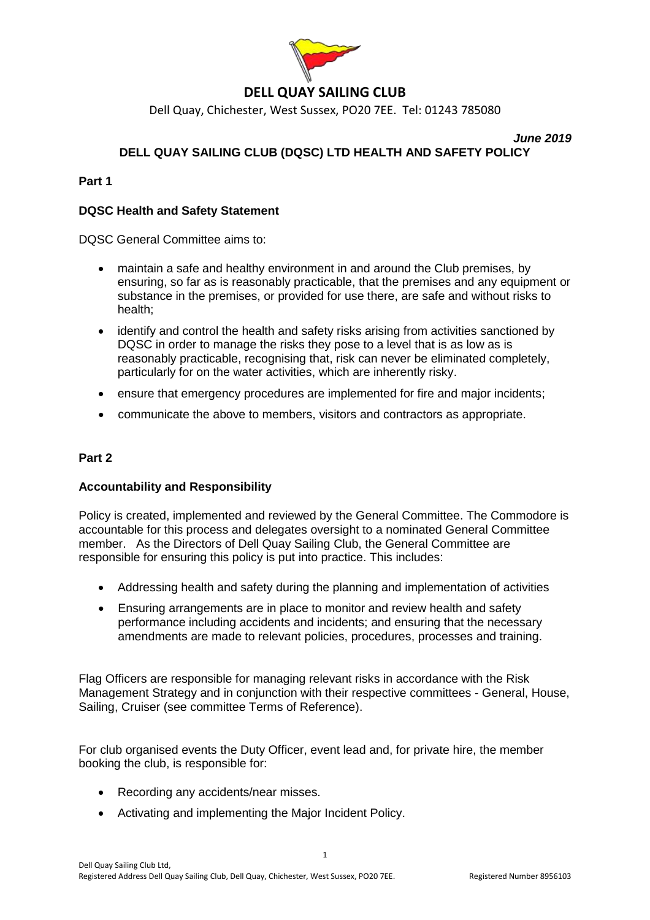

# **DELL QUAY SAILING CLUB**

Dell Quay, Chichester, West Sussex, PO20 7EE. Tel: 01243 785080

*June 2019*

# **DELL QUAY SAILING CLUB (DQSC) LTD HEALTH AND SAFETY POLICY**

## **Part 1**

## **DQSC Health and Safety Statement**

DQSC General Committee aims to:

- maintain a safe and healthy environment in and around the Club premises, by ensuring, so far as is reasonably practicable, that the premises and any equipment or substance in the premises, or provided for use there, are safe and without risks to health;
- identify and control the health and safety risks arising from activities sanctioned by DQSC in order to manage the risks they pose to a level that is as low as is reasonably practicable, recognising that, risk can never be eliminated completely, particularly for on the water activities, which are inherently risky.
- ensure that emergency procedures are implemented for fire and major incidents;
- communicate the above to members, visitors and contractors as appropriate.

## **Part 2**

## **Accountability and Responsibility**

Policy is created, implemented and reviewed by the General Committee. The Commodore is accountable for this process and delegates oversight to a nominated General Committee member. As the Directors of Dell Quay Sailing Club, the General Committee are responsible for ensuring this policy is put into practice. This includes:

- Addressing health and safety during the planning and implementation of activities
- Ensuring arrangements are in place to monitor and review health and safety performance including accidents and incidents; and ensuring that the necessary amendments are made to relevant policies, procedures, processes and training.

Flag Officers are responsible for managing relevant risks in accordance with the Risk Management Strategy and in conjunction with their respective committees - General, House, Sailing, Cruiser (see committee Terms of Reference).

For club organised events the Duty Officer, event lead and, for private hire, the member booking the club, is responsible for:

1

- Recording any accidents/near misses.
- Activating and implementing the Major Incident Policy.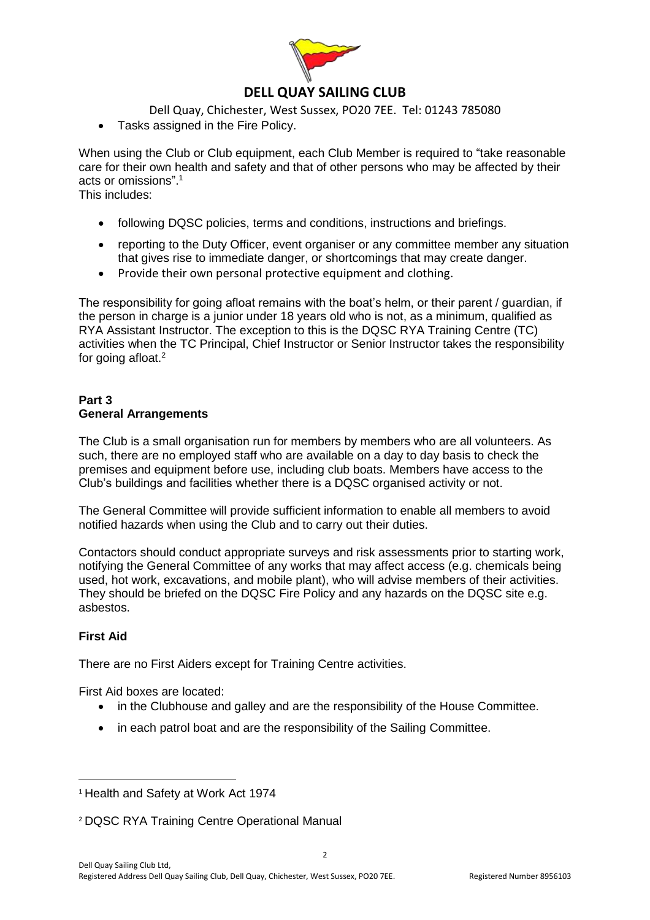

## **DELL QUAY SAILING CLUB**

Dell Quay, Chichester, West Sussex, PO20 7EE. Tel: 01243 785080

• Tasks assigned in the Fire Policy.

When using the Club or Club equipment, each Club Member is required to "take reasonable care for their own health and safety and that of other persons who may be affected by their acts or omissions". 1

This includes:

- following DQSC policies, terms and conditions, instructions and briefings.
- reporting to the Duty Officer, event organiser or any committee member any situation that gives rise to immediate danger, or shortcomings that may create danger.
- Provide their own personal protective equipment and clothing.

The responsibility for going afloat remains with the boat's helm, or their parent / guardian, if the person in charge is a junior under 18 years old who is not, as a minimum, qualified as RYA Assistant Instructor. The exception to this is the DQSC RYA Training Centre (TC) activities when the TC Principal, Chief Instructor or Senior Instructor takes the responsibility for going afloat.<sup>2</sup>

### **Part 3 General Arrangements**

The Club is a small organisation run for members by members who are all volunteers. As such, there are no employed staff who are available on a day to day basis to check the premises and equipment before use, including club boats. Members have access to the Club's buildings and facilities whether there is a DQSC organised activity or not.

The General Committee will provide sufficient information to enable all members to avoid notified hazards when using the Club and to carry out their duties.

Contactors should conduct appropriate surveys and risk assessments prior to starting work, notifying the General Committee of any works that may affect access (e.g. chemicals being used, hot work, excavations, and mobile plant), who will advise members of their activities. They should be briefed on the DQSC Fire Policy and any hazards on the DQSC site e.g. asbestos.

## **First Aid**

l

There are no First Aiders except for Training Centre activities.

First Aid boxes are located:

- in the Clubhouse and galley and are the responsibility of the House Committee.
- in each patrol boat and are the responsibility of the Sailing Committee.

<sup>&</sup>lt;sup>1</sup> Health and Safety at Work Act 1974

<sup>2</sup> DQSC RYA Training Centre Operational Manual